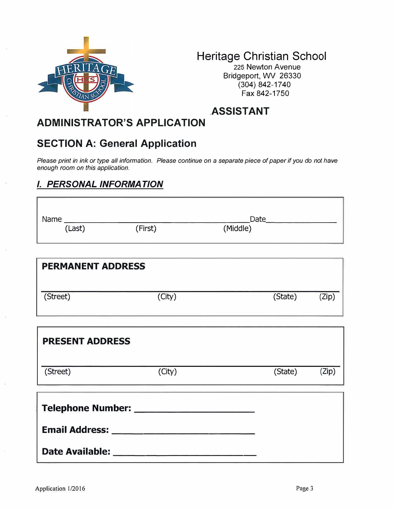

# **Heritage Christian School**

225 Newton Avenue Bridgeport, WV 26330 (304) 842-1740 Fax 842-1750

**.ASSISTANT** 

# **ADMINISTRATOR'S APPLICATION**

## **SECTION A: General Application**

*Please print in ink or type all information. Please continue on a separate piece of paper if you do not have enough room on this application.* 

### *I. PERSONAL INFORMATION*

| Name   |         | Date     |  |
|--------|---------|----------|--|
| (Last) | (First) | (Middle) |  |

| <b>PERMANENT ADDRESS</b> |        |         |       |  |
|--------------------------|--------|---------|-------|--|
| (Street)                 | (City) | (State) | (Zip) |  |

| <b>PRESENT ADDRESS</b>   |        |         |       |  |
|--------------------------|--------|---------|-------|--|
| (Street)                 | (City) | (State) | (Zip) |  |
| <b>Telephone Number:</b> |        |         |       |  |
| <b>Email Address:</b>    |        |         |       |  |

**Date Available:**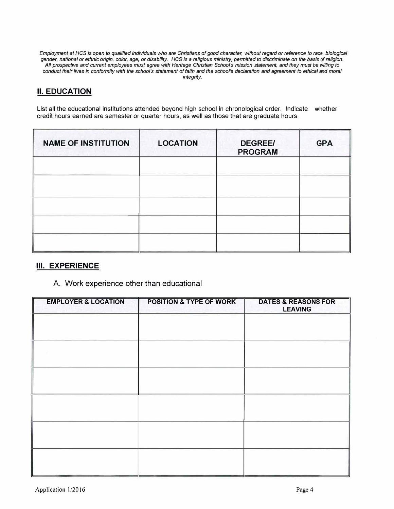*Employment at HCS is open to qualified individuals who are Christians of good character, without regard or reference to race, biological gender, national or ethnic origin, color, age, or disability. HCS is a religious ministry, permitted to discriminate on the basis of religion. All prospective and current employees must agree with Heritage Christian School's mission statement, and they must be willing to conduct their lives in conformity with the school's statement offaith and the school's declaration and agreement to ethical and moral integrity.* 

#### **II. EDUCATION**

List all the educational institutions attended beyond high school in chronological order. Indicate whether credit hours earned are semester or quarter hours, as well as those that are graduate hours.

| <b>NAME OF INSTITUTION</b> | <b>LOCATION</b> | <b>DEGREE/</b><br><b>PROGRAM</b> | <b>GPA</b> |
|----------------------------|-----------------|----------------------------------|------------|
|                            |                 |                                  |            |
|                            |                 |                                  |            |
|                            |                 |                                  |            |
|                            |                 |                                  |            |

#### **III. EXPERIENCE**

#### A. Work experience other than educational

| <b>EMPLOYER &amp; LOCATION</b> | <b>POSITION &amp; TYPE OF WORK</b> | <b>DATES &amp; REASONS FOR</b><br><b>LEAVING</b> |
|--------------------------------|------------------------------------|--------------------------------------------------|
|                                |                                    |                                                  |
|                                |                                    |                                                  |
|                                |                                    |                                                  |
|                                |                                    |                                                  |
|                                |                                    |                                                  |
|                                |                                    |                                                  |
|                                |                                    |                                                  |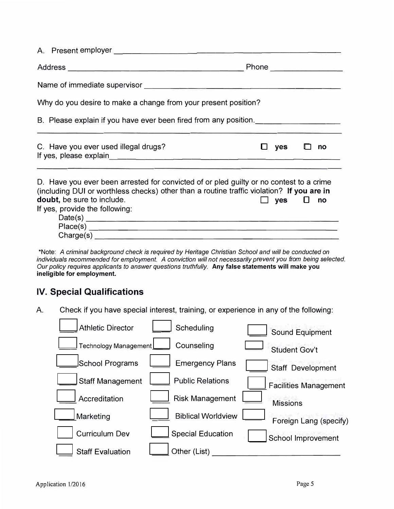| A. Present employer                                                                                                                                                                                                                                                                                                                                                                                                                                                                                                    |                         |  |  |  |
|------------------------------------------------------------------------------------------------------------------------------------------------------------------------------------------------------------------------------------------------------------------------------------------------------------------------------------------------------------------------------------------------------------------------------------------------------------------------------------------------------------------------|-------------------------|--|--|--|
|                                                                                                                                                                                                                                                                                                                                                                                                                                                                                                                        | Phone <u>expression</u> |  |  |  |
|                                                                                                                                                                                                                                                                                                                                                                                                                                                                                                                        |                         |  |  |  |
| Why do you desire to make a change from your present position?                                                                                                                                                                                                                                                                                                                                                                                                                                                         |                         |  |  |  |
| B. Please explain if you have ever been fired from any position.                                                                                                                                                                                                                                                                                                                                                                                                                                                       |                         |  |  |  |
| C. Have you ever used illegal drugs?                                                                                                                                                                                                                                                                                                                                                                                                                                                                                   | yes<br>no               |  |  |  |
| If yes, please explain example and the state of year and the state of year and the state of years and the state of years and the state of years and year and year and year and year and year and year and year and year and ye<br>D. Have you ever been arrested for convicted of or pled guilty or no contest to a crime<br>(including DUI or worthless checks) other than a routine traffic violation? If you are in<br>doubt, be sure to include.<br>$yes$ $\Box$ no<br>If yes, provide the following:<br>Charge(s) |                         |  |  |  |

\*Note: *A criminal background check* is *required by Heritage Christian School and will be conducted on individuals recommended for employment. A conviction will not necessarily prevent you from being selected. Our policy requires applicants to answer questions truthfully.* **Any false statements will make you ineligible for employment.**

### **IV. Special Qualifications**

A. Check if you have special interest, training, or experience in any of the following:

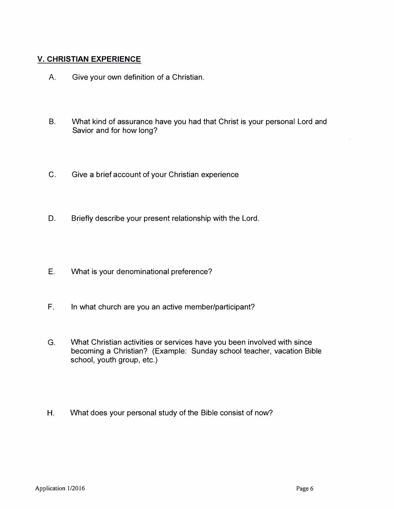#### **V. CHRISTIAN EXPERIENCE**

- A. Give your own definition of a Christian.
- B. What kind of assurance have you had that Christ is your personal Lord and Savior and for how long?
- C. Give a brief account of your Christian experience
- D. Briefly describe your present relationship with the Lord.
- E. What is your denominational preference?
- F. In what church are you an active member/participant?
- G. What Christian activities or services have you been involved with since becoming a Christian? (Example: Sunday school teacher, vacation Bible school, youth group, etc.)
- H. What does your personal study of the Bible consist of now?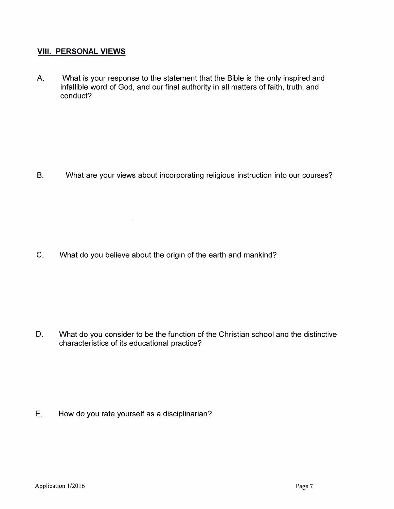#### **VIII. PERSONAL VIEWS**

A. What is your response to the statement that the Bible is the only inspired and infallible word of God, and our final authority in all matters of faith, truth, and conduct?

B. What are your views about incorporating religious instruction into our courses?

C. What do you believe about the origin of the earth and mankind?

 $\mathcal{A}$ 

D. What do you consider to be the function of the Christian school and the distinctive characteristics of its educational practice?

E. How do you rate yourself as a disciplinarian?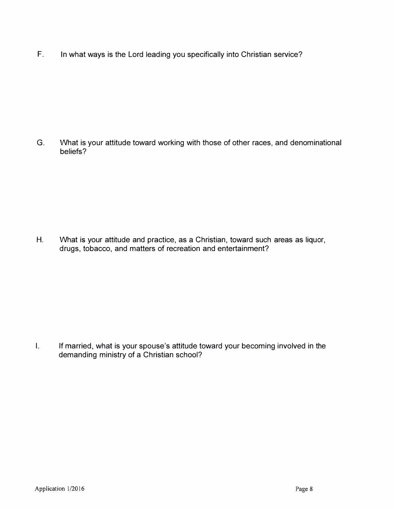F. In what ways is the Lord leading you specifically into Christian service?

G. What is your attitude toward working with those of other races, and denominational beliefs?

H. What is your attitude and practice, as a Christian, toward such areas as liquor, drugs, tobacco, and matters of recreation and entertainment?

I. If married, what is your spouse's attitude toward your becoming involved in the demanding ministry of a Christian school?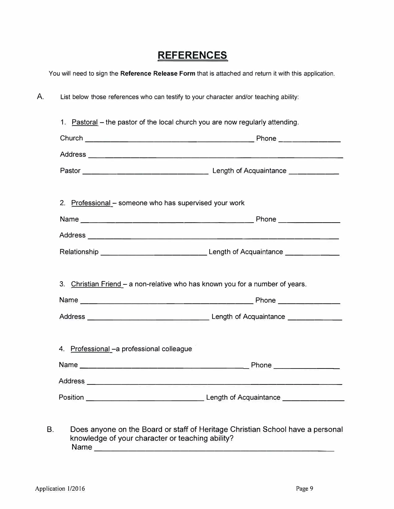## **REFERENCES**

You will need to sign the **Reference Release Form** that is attached and return it with this application.

A. List below those references who can testify to your character and/or teaching ability:

|                                            | 2. Professional - someone who has supervised your work                        |
|--------------------------------------------|-------------------------------------------------------------------------------|
|                                            |                                                                               |
|                                            |                                                                               |
|                                            |                                                                               |
|                                            |                                                                               |
|                                            | 3. Christian Friend - a non-relative who has known you for a number of years. |
|                                            |                                                                               |
| 4. Professional - a professional colleague |                                                                               |
|                                            |                                                                               |
|                                            |                                                                               |

B. Does anyone on the Board or staff of Heritage Christian School have a personal knowledge of your character or teaching ability? Name ----------------------------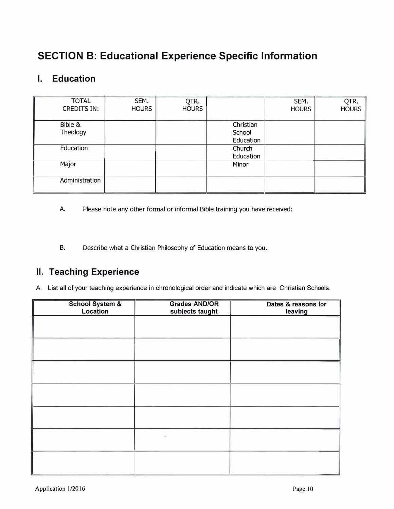# **SECTION B: Educational Experience Specific Information**

### **I. Education**

| <b>TOTAL</b><br><b>CREDITS IN:</b> | SEM.<br><b>HOURS</b> | QTR.<br><b>HOURS</b> |                                  | SEM.<br><b>HOURS</b> | QTR.<br>HOURS |
|------------------------------------|----------------------|----------------------|----------------------------------|----------------------|---------------|
| Bible &<br>Theology                |                      |                      | Christian<br>School<br>Education |                      |               |
| Education                          |                      |                      | Church<br>Education              |                      |               |
| Major                              |                      |                      | Minor                            |                      |               |
| Administration                     |                      |                      |                                  |                      |               |

- A. Please note any other formal or informal Bible training you have received:
- B. Describe what a Christian Philosophy of Education means to you.

### **II. Teaching Experience**

A. List all of your teaching experience in chronological order and indicate which are Christian Schools.

| <b>School System &amp;</b><br>Location | <b>Grades AND/OR</b><br>subjects taught | Dates & reasons for<br>leaving |
|----------------------------------------|-----------------------------------------|--------------------------------|
|                                        |                                         |                                |
|                                        |                                         |                                |
|                                        |                                         |                                |
|                                        |                                         |                                |
|                                        |                                         |                                |
|                                        |                                         |                                |
|                                        |                                         |                                |
|                                        |                                         |                                |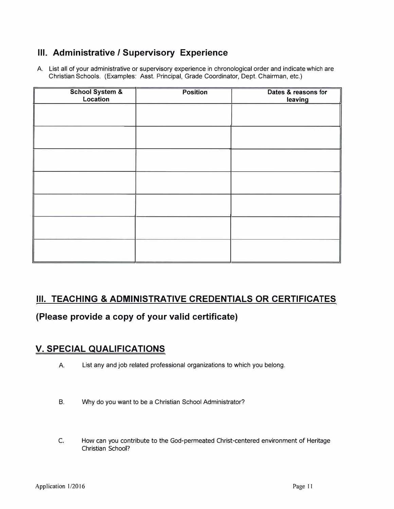### **Ill. Administrative/ Supervisory Experience**

A. List all of your administrative or supervisory experience in chronological order and indicate which are Christian Schools. (Examples: Asst. Principal, Grade Coordinator, Dept. Chairman, etc.)

| School System &<br>Location | <b>Position</b> | Dates & reasons for<br>leaving |
|-----------------------------|-----------------|--------------------------------|
|                             |                 |                                |
|                             |                 |                                |
|                             |                 |                                |
|                             |                 |                                |
|                             |                 |                                |
|                             |                 |                                |
|                             |                 |                                |
|                             |                 |                                |

## **III. TEACHING & ADMINISTRATIVE CREDENTIALS OR CERTIFICATES**

**(Please provide a copy of your valid certificate)** 

## **V. SPECIAL QUALIFICATIONS**

- A. List any and job related professional organizations to which you belong.
- B. Why do you want to be a Christian School Administrator?
- C. How can you contribute to the God-permeated Christ-centered environment of Heritage Christian School?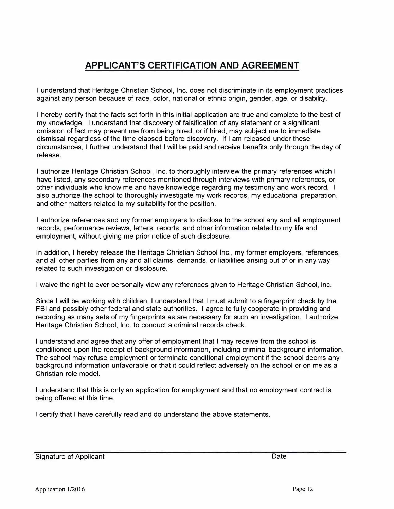## **APPLICANT'S CERTIFICATION AND AGREEMENT**

I understand that Heritage Christian School, Inc. does not discriminate in its employment practices against any person because of race, color, national or ethnic origin, gender, age, or disability.

I hereby certify that the facts set forth in this initial application are true and complete to the best of my knowledge. I understand that discovery of falsification of any statement or a significant omission of fact may prevent me from being hired, or if hired, may subject me to immediate dismissal regardless of the time elapsed before discovery. If I am released under these circumstances, I further understand that I will be paid and receive benefits only through the day of release.

I authorize Heritage Christian School, Inc. to thoroughly interview the primary references which I have listed, any secondary references mentioned through interviews with primary references, or other individuals who know me and have knowledge regarding my testimony and work record. I also authorize the school to thoroughly investigate my work records, my educational preparation, and other matters related to my suitability for the position.

I authorize references and my former employers to disclose to the school any and all employment records, performance reviews, letters, reports, and other information related to my life and employment, without giving me prior notice of such disclosure.

In addition, I hereby release the Heritage Christian School Inc., my former employers, references, and all other parties from any and all claims, demands, or liabilities arising out of or in any way related to such investigation or disclosure.

I waive the right to ever personally view any references given to Heritage Christian School, Inc.

Since I will be working with children, I understand that I must submit to a fingerprint check by the FBI and possibly other federal and state authorities. I agree to fully cooperate in providing and recording as many sets of my fingerprints as are necessary for such an investigation. I authorize Heritage Christian School, Inc. to conduct a criminal records check.

I understand and agree that any offer of employment that I may receive from the school is conditioned upon the receipt of background information, including criminal background information. The school may refuse employment or terminate conditional employment if the school deems any background information unfavorable or that it could reflect adversely on the school or on me as a Christian role model.

I understand that this is only an application for employment and that no employment contract is being offered at this time.

I certify that I have carefully read and do understand the above statements.

Signature of Applicant Date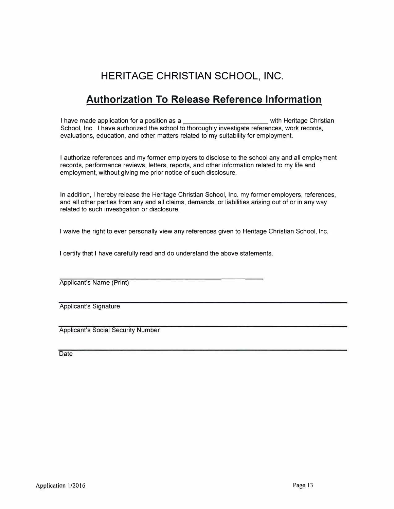# **HERITAGE CHRISTIAN SCHOOL, INC.**

## **Authorization To Release Reference Information**

I have made application for a position as a **Exercise 2** with Heritage Christian School, Inc. I have authorized the school to thoroughly investigate references, work records, evaluations, education, and other matters related to my suitability for employment.

I authorize references and my former employers to disclose to the school any and all employment records, performance reviews, letters, reports, and other information related to my life and employment, without giving me prior notice of such disclosure.

In addition, I hereby release the Heritage Christian School, Inc. my former employers, references, and all other parties from any and all claims, demands, or liabilities arising out of or in any way related to such investigation or disclosure.

I waive the right to ever personally view any references given to Heritage Christian School, Inc.

I certify that I have carefully read and do understand the above statements.

Applicant's Name (Print)

Applicant's Signature

Applicant's Social Security Number

**Date**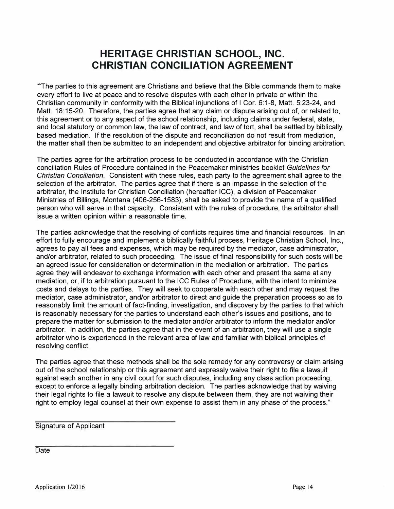## **HERITAGE CHRISTIAN SCHOOL, INC. CHRISTIAN CONCILIATION AGREEMENT**

"The parties to this agreement are Christians and believe that the Bible commands them to make every effort to live at peace and to resolve disputes with each other in private or within the Christian community in conformity with the Biblical injunctions of I Cor. 6: 1-8, Matt. 5:23-24, and Matt. 18: 15-20. Therefore, the parties agree that any claim or dispute arising out of, or related to, this agreement or to any aspect of the school relationship, including claims under federal, state, and local statutory or common law, the law of contract, and law of tort, shall be settled by biblically based mediation. If the resolution of the dispute and reconciliation do not result from mediation, the matter shall then be submitted to an independent and objective arbitrator for binding arbitration.

The parties agree for the arbitration process to be conducted in accordance with the Christian conciliation Rules of Procedure contained in the Peacemaker ministries booklet *Guidelines for Christian Conciliation.* Consistent with these rules, each party to the agreement shall agree to the selection of the arbitrator. The parties agree that if there is an impasse in the selection of the arbitrator, the Institute for Christian Conciliation (hereafter ICC), a division of Peacemaker Ministries of Billings, Montana (406-256-1583), shall be asked to provide the name of a qualified person who will serve in that capacity. Consistent with the rules of procedure, the arbitrator shall issue a written opinion within a reasonable time.

The parties acknowledge that the resolving of conflicts requires time and financial resources. In an effort to fully encourage and implement a biblically faithful process, Heritage Christian School, Inc., agrees to pay all fees and expenses, which may be required by the mediator, case administrator, and/or arbitrator, related to such proceeding. The issue of final responsibility for such costs will be an agreed issue for consideration or determination in the mediation or arbitration. The parties agree they will endeavor to exchange information with each other and present the same at any mediation, or, if to arbitration pursuant to the ICC Rules of Procedure, with the intent to minimize costs and delays to the parties. They will seek to cooperate with each other and may request the mediator, case administrator, and/or arbitrator to direct and guide the preparation process so as to reasonably limit the amount of fact-finding, investigation, and discovery by the parties to that which is reasonably necessary for the parties to understand each other's issues and positions, and to prepare the matter for submission to the mediator and/or arbitrator to inform the mediator and/or arbitrator. In addition, the parties agree that in the event of an arbitration, they will use a single arbitrator who is experienced in the relevant area of law and familiar with biblical principles of resolving conflict.

The parties agree that these methods shall be the sole remedy for any controversy or claim arising out of the school relationship or this agreement and expressly waive their right to file a lawsuit against each another in any civil court for such disputes, including any class action proceeding, except to enforce a legally binding arbitration decision. The parties acknowledge that by waiving their legal rights to file a lawsuit to resolve any dispute between them, they are not waiving their right to employ legal counsel at their own expense to assist them in any phase of the process."

Signature of Applicant

Date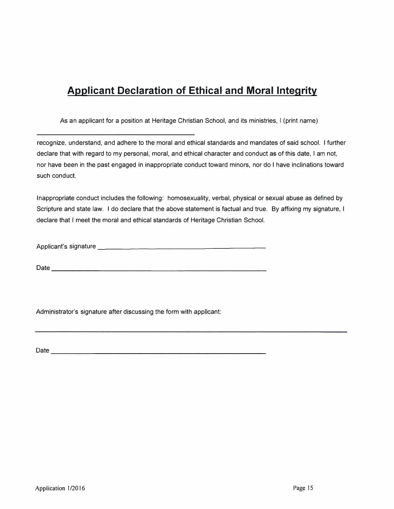# **Applicant Declaration of Ethical and Moral Integrity**

As an applicant for a position at Heritage Christian School, and its ministries, I (print name)

recognize, understand, and adhere to the moral and ethical standards and mandates of said school. I further declare that with regard to my personal, moral, and ethical character and conduct as of this date, I am not, nor have been in the past engaged in inappropriate conduct toward minors, nor do I have inclinations toward such conduct.

Inappropriate conduct includes the following: homosexuality, verbal, physical or sexual abuse as defined by Scripture and state law. I do declare that the above statement is factual and true. By affixing my signature, I declare that I meet the moral and ethical standards of Heritage Christian School.

Applicant's signature \_\_\_\_\_\_\_\_\_\_\_\_\_\_\_\_\_\_\_ \_

 $Date$   $\overline{\phantom{a}}$ 

Administrator's signature after discussing the form with applicant:

Date \_\_\_\_\_\_\_\_\_\_\_\_\_\_\_\_\_\_\_\_\_\_\_\_\_ \_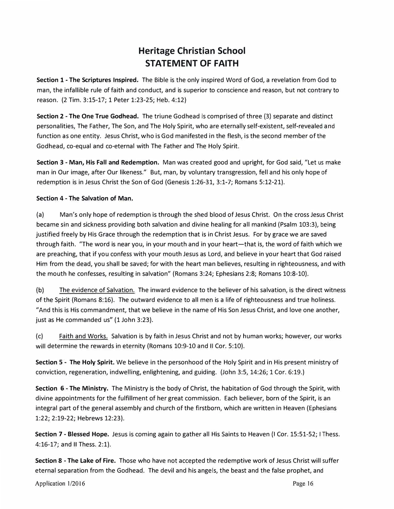## **Heritage Christian School STATEMENT OF FAITH**

**Section 1 - The Scriptures Inspired.** The Bible is the only inspired Word of God, a revelation from God to man, the infallible rule of faith and conduct, and is superior to conscience and reason, but not contrary to reason. (2 Tim. 3:15-17; 1 Peter 1:23-25; Heb. 4:12)

**Section 2 - The One True Godhead.** The triune Godhead is comprised of three (3) separate and distinct personalities, The Father, The Son, and The Holy Spirit, who are eternally self-existent, self-revealed and function as one entity. Jesus Christ, who is God manifested in the flesh, is the second member of the Godhead, co-equal and co-eternal with The Father and The Holy Spirit.

**Section 3 - Man, His Fall and Redemption.** Man was created good and upright, for God said, "Let us make man in Our image, after Our likeness." But, man, by voluntary transgression, fell and his only hope of redemption is in Jesus Christ the Son of God (Genesis 1:26-31, 3:1-7; Romans 5:12-21).

#### **Section 4 - The Salvation of Man.**

(a) Man's only hope of redemption is through the shed blood of Jesus Christ. On the cross Jesus Christ became sin and sickness providing both salvation and divine healing for all mankind (Psalm 103:3), being justified freely by His Grace through the redemption that is in Christ Jesus. For by grace we are saved through faith. "The word is near you, in your mouth and in your heart—that is, the word of faith which we are preaching, that if you confess with your mouth Jesus as Lord, and believe in your heart that God raised Him from the dead, you shall be saved; for with the heart man believes, resulting in righteousness, and with the mouth he confesses, resulting in salvation" (Romans 3:24; Ephesians 2:8; Romans 10:8-10).

(b) The evidence of Salvation. The inward evidence to the believer of his salvation, is the direct witness of the Spirit (Romans 8:16). The outward evidence to all men is a life of righteousness and true holiness. "And this is His commandment, that we believe in the name of His Son Jesus Christ, and love one another, just as He commanded us" (1 John 3:23).

(c) Faith and Works. Salvation is by faith in Jesus Christ and not by human works; however, our works will determine the rewards in eternity (Romans 10:9-10 and II Cor. 5:10).

**Section 5 - The Holy Spirit.** We believe in the personhood of the Holy Spirit and in His present ministry of conviction, regeneration, indwelling, enlightening, and guiding. (John 3:5, 14:26; 1 Cor. 6:19.)

**Section 6 - The Ministry.** The Ministry is the body of Christ, the habitation of God through the Spirit, with divine appointments for the fulfillment of her great commission. Each believer, born of the Spirit, is an integral part of the general assembly and church of the firstborn, which are written in Heaven (Ephesians 1:22; 2:19-22; Hebrews 12:23).

**Section 7 - Blessed Hope.** Jesus is coming again to gather all His Saints to Heaven {I Car. 15:51-52; I Thess. 4:16-17; and II Thess. 2:1).

**Section 8 - The Lake of Fire.** Those who have not accepted the redemptive work of Jesus Christ will suffer eternal separation from the Godhead. The devil and his angels, the beast and the false prophet, and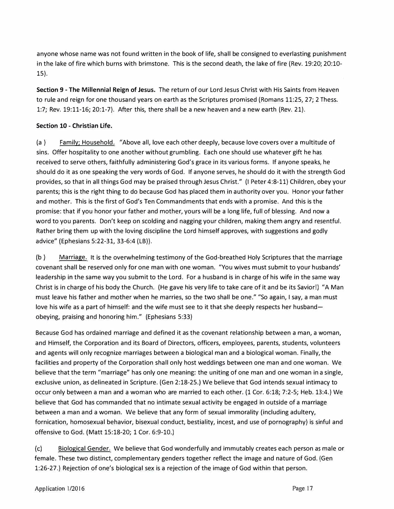anyone whose name was not found written in the book of life, shall be consigned to everlasting punishment in the lake of fire which burns with brimstone. This is the second death, the lake of fire (Rev. 19:20; 20:10- 15).

**Section 9 - The Millennial Reign of Jesus.** The return of our Lord Jesus Christ with His Saints from Heaven to rule and reign for one thousand years on earth as the Scriptures promised (Romans 11:25, 27; 2 Thess. 1:7; Rev. 19:11-16; 20:1-7). After this, there shall be a new heaven and a new earth (Rev. 21).

#### **Section 10 - Christian Life.**

(a ) Family; Household. "Above all, love each other deeply, because love covers over a multitude of sins. Offer hospitality to one another without grumbling. Each one should use whatever gift he has received to serve others, faithfully administering God's grace in its various forms. If anyone speaks, he should do it as one speaking the very words of God. If anyone serves, he should do it with the strength God provides, so that in all things God may be praised through Jesus Christ." (I Peter 4:8-11) Children, obey your parents; this is the right thing to do because God has placed them in authority over you. Honor your father and mother. This is the first of God's Ten Commandments that ends with a promise. And this is the promise: that if you honor your father and mother, yours will be a long life, full of blessing. And now a word to you parents. Don't keep on scolding and nagging your children, making them angry and resentful. Rather bring them up with the loving discipline the Lord himself approves, with suggestions and godly advice" (Ephesians 5:22-31, 33-6:4 (LB)).

(b ) Marriage. It is the overwhelming testimony of the God-breathed Holy Scriptures that the marriage covenant shall be reserved only for one man with one woman. "You wives must submit to your husbands' leadership **in** the same way you submit to the Lord. For a husband is in charge of his wife in the same way Christ is in charge of his body the Church. (He gave his very life to take care of it and be its Savior!) "A Man must leave his father and mother when he marries, so the two shall be one." "So again, I say, a man must love his wife as a part of himself: and the wife must see to it that she deeply respects her husbandobeying, praising and honoring him." (Ephesians 5:33)

Because God has ordained marriage and defined it as the covenant relationship between a man, a woman, and Himself, the Corporation and its Board of Directors, officers, employees, parents, students, volunteers and agents will only recognize marriages between a biological man and a biological woman. Finally, the facilities and property of the Corporation shall only host weddings between one man and one woman. We believe that the term "marriage" has only one meaning: the uniting of one man and one woman in a single, exclusive union, as delineated in Scripture. (Gen 2:18-25.) We believe that God intends sexual intimacy to occur only between a man and a woman who are married to each other. (1 Cor. 6:18; 7:2-5; Heb. 13:4.) We believe that God has commanded that no intimate sexual activity be engaged in outside of a marriage between a man and a woman. We believe that any form of sexual immorality (including adultery, fornication, homosexual behavior, bisexual conduct, bestiality, incest, and use of pornography) is sinful and offensive to God. (Matt 15:18-20; 1 Cor. 6:9-10.)

(c) Biological Gender. We believe that God wonderfully and immutably creates each person as male or female. These two distinct, complementary genders together reflect the image and nature of God. (Gen 1:26-27.) Rejection of one's biological sex is a rejection of the image of God within that person.